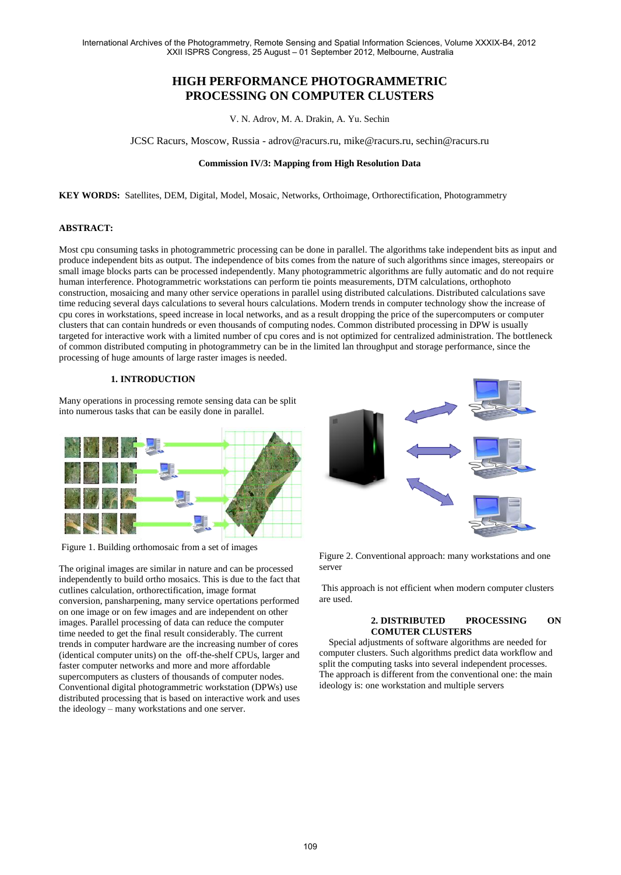# **HIGH PERFORMANCE PHOTOGRAMMETRIC PROCESSING ON COMPUTER CLUSTERS**

V. N. Adrov, M. A. Drakin, A. Yu. Sechin

JCSC Racurs, Moscow, Russia - adrov@racurs.ru, mike@racurs.ru, sechin@racurs.ru

# **Commission IV/3: Mapping from High Resolution Data**

**KEY WORDS:** Satellites, DEM, Digital, Model, Mosaic, Networks, Orthoimage, Orthorectification, Photogrammetry

## **ABSTRACT:**

Most cpu consuming tasks in photogrammetric processing can be done in parallel. The algorithms take independent bits as input and produce independent bits as output. The independence of bits comes from the nature of such algorithms since images, stereopairs or small image blocks parts can be processed independently. Many photogrammetric algorithms are fully automatic and do not require human interference. Photogrammetric workstations can perform tie points measurements, DTM calculations, orthophoto construction, mosaicing and many other service operations in parallel using distributed calculations. Distributed calculations save time reducing several days calculations to several hours calculations. Modern trends in computer technology show the increase of cpu cores in workstations, speed increase in local networks, and as a result dropping the price of the supercomputers or computer clusters that can contain hundreds or even thousands of computing nodes. Common distributed processing in DPW is usually targeted for interactive work with a limited number of cpu cores and is not optimized for centralized administration. The bottleneck of common distributed computing in photogrammetry can be in the limited lan throughput and storage performance, since the processing of huge amounts of large raster images is needed.

# **1. INTRODUCTION**

Many operations in processing remote sensing data can be split into numerous tasks that can be easily done in parallel.



Figure 1. Building orthomosaic from a set of images

The original images are similar in nature and can be processed independently to build ortho mosaics. This is due to the fact that cutlines calculation, orthorectification, image format conversion, pansharpening, many service opertations performed on one image or on few images and are independent on other images. Parallel processing of data can reduce the computer time needed to get the final result considerably. The current trends in computer hardware are the increasing number of cores (identical computer units) on the off-the-shelf CPUs, larger and faster computer networks and more and more affordable supercomputers as clusters of thousands of computer nodes. Conventional digital photogrammetric workstation (DPWs) use distributed processing that is based on interactive work and uses the ideology – many workstations and one server.



Figure 2. Conventional approach: many workstations and one server

This approach is not efficient when modern computer clusters are used.

### **2. DISTRIBUTED PROCESSING ON COMUTER CLUSTERS**

 Special adjustments of software algorithms are needed for computer clusters. Such algorithms predict data workflow and split the computing tasks into several independent processes. The approach is different from the conventional one: the main ideology is: one workstation and multiple servers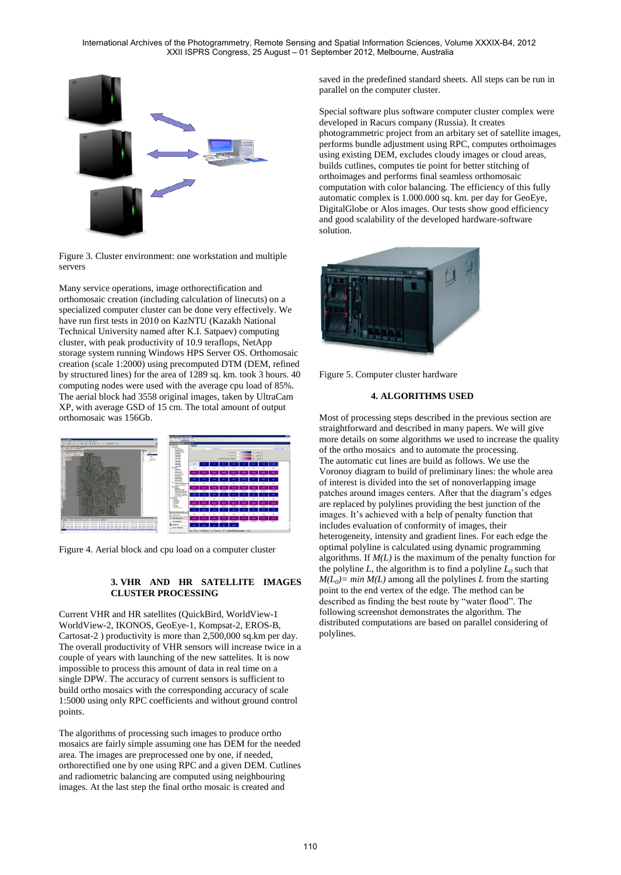

Figure 3. Cluster environment: one workstation and multiple servers

Many service operations, image orthorectification and orthomosaic creation (including calculation of linecuts) on a specialized computer cluster can be done very effectively. We have run first tests in 2010 on KazNTU (Kazakh National Technical University named after K.I. Satpaev) computing cluster, with peak productivity of 10.9 teraflops, NetApp storage system running Windows HPS Server OS. Orthomosaic creation (scale 1:2000) using precomputed DTM (DEM, refined by structured lines) for the area of 1289 sq. km. took 3 hours. 40 computing nodes were used with the average cpu load of 85%. The aerial block had 3558 original images, taken by UltraCam XP, with average GSD of 15 cm. The total amount of output orthomosaic was 156Gb.



Figure 4. Aerial block and cpu load on a computer cluster

# **3. VHR AND HR SATELLITE IMAGES CLUSTER PROCESSING**

Current VHR and HR satellites (QuickBird, WorldView-1 WorldView-2, IKONOS, GeoEye-1, Kompsat-2, EROS-B, Cartosat-2 ) productivity is more than 2,500,000 sq.km per day. The overall productivity of VHR sensors will increase twice in a couple of years with launching of the new sattelites. It is now impossible to process this amount of data in real time on a single DPW. The accuracy of current sensors is sufficient to build ortho mosaics with the corresponding accuracy of scale 1:5000 using only RPC coefficients and without ground control points.

The algorithms of processing such images to produce ortho mosaics are fairly simple assuming one has DEM for the needed area. The images are preprocessed one by one, if needed, orthorectified one by one using RPC and a given DEM. Cutlines and radiometric balancing are computed using neighbouring images. At the last step the final ortho mosaic is created and

saved in the predefined standard sheets. All steps can be run in parallel on the computer cluster.

Special software plus software computer cluster complex were developed in Racurs company (Russia). It creates photogrammetric project from an arbitary set of satellite images, performs bundle adjustment using RPC, computes orthoimages using existing DEM, excludes cloudy images or cloud areas, builds cutlines, computes tie point for better stitching of orthoimages and performs final seamless orthomosaic computation with color balancing. The efficiency of this fully automatic complex is 1.000.000 sq. km. per day for GeoEye, DigitalGlobe or Alos images. Our tests show good efficiency and good scalability of the developed hardware-software solution.



Figure 5. Computer cluster hardware

# **4. ALGORITHMS USED**

Most of processing steps described in the previous section are straightforward and described in many papers. We will give more details on some algorithms we used to increase the quality of the ortho mosaics and to automate the processing. The automatic cut lines are build as follows. We use the Voronoy diagram to build of preliminary lines: the whole area of interest is divided into the set of nonoverlapping image patches around images centers. After that the diagram's edges are replaced by polylines providing the best junction of the images. It's achieved with a help of penalty function that includes evaluation of conformity of images, their heterogeneity, intensity and gradient lines. For each edge the optimal polyline is calculated using dynamic programming algorithms. If *M(L)* is the maximum of the penalty function for the polyline *L*, the algorithm is to find a polyline  $L_0$  such that  $M(L_0)$  = min  $M(L)$  among all the polylines *L* from the starting point to the end vertex of the edge. The method can be described as finding the best route by "water flood". The following screenshot demonstrates the algorithm. The distributed computations are based on parallel considering of polylines.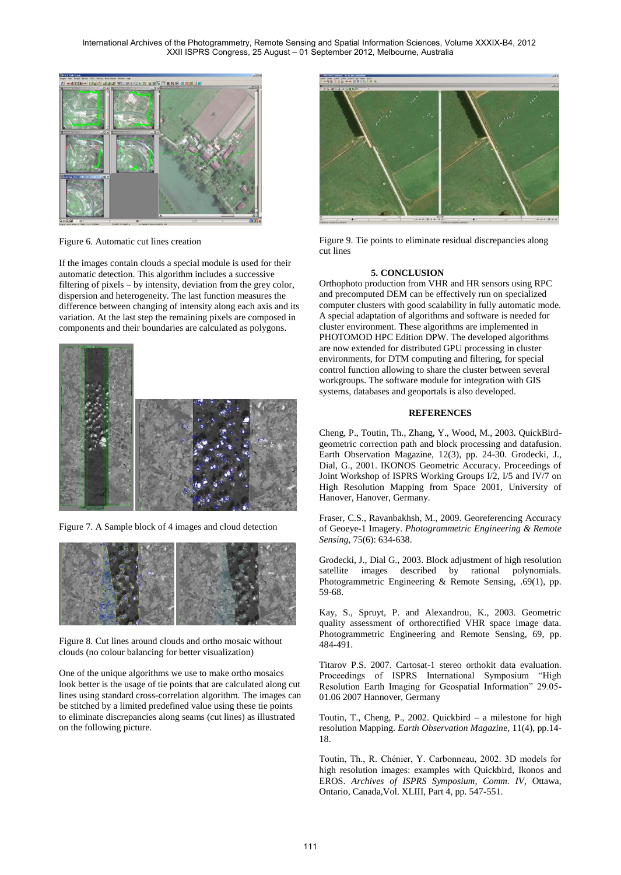

Figure 6. Automatic cut lines creation

If the images contain clouds a special module is used for their automatic detection. This algorithm includes a successive filtering of pixels – by intensity, deviation from the grey color, dispersion and heterogeneity. The last function measures the difference between changing of intensity along each axis and its variation. At the last step the remaining pixels are composed in components and their boundaries are calculated as polygons.



Figure 7. A Sample block of 4 images and cloud detection



Figure 8. Cut lines around clouds and ortho mosaic without clouds (no colour balancing for better visualization)

One of the unique algorithms we use to make ortho mosaics look better is the usage of tie points that are calculated along cut lines using standard cross-correlation algorithm. The images can be stitched by a limited predefined value using these tie points to eliminate discrepancies along seams (cut lines) as illustrated on the following picture.



Figure 9. Tie points to eliminate residual discrepancies along cut lines

#### **5. CONCLUSION**

Orthophoto production from VHR and HR sensors using RPC and precomputed DEM can be effectively run on specialized computer clusters with good scalability in fully automatic mode. A special adaptation of algorithms and software is needed for cluster environment. These algorithms are implemented in PHOTOMOD HPC Edition DPW. The developed algorithms are now extended for distributed GPU processing in cluster environments, for DTM computing and filtering, for special control function allowing to share the cluster between several workgroups. The software module for integration with GIS systems, databases and geoportals is also developed.

#### **REFERENCES**

Cheng, P., Toutin, Th., Zhang, Y., Wood, M., 2003. QuickBirdgeometric correction path and block processing and datafusion. Earth Observation Magazine, 12(3), pp. 24-30. Grodecki, J., Dial, G., 2001. IKONOS Geometric Accuracy. Proceedings of Joint Workshop of ISPRS Working Groups I/2, I/5 and IV/7 on High Resolution Mapping from Space 2001, University of Hanover, Hanover, Germany.

Fraser, C.S., Ravanbakhsh, M., 2009. Georeferencing Accuracy of Geoeye-1 Imagery. *Photogrammetric Engineering & Remote Sensing*, 75(6): 634-638.

Grodecki, J., Dial G., 2003. Block adjustment of high resolution satellite images described by rational polynomials. Photogrammetric Engineering & Remote Sensing, .69(1), pp. 59-68.

Kay, S., Spruyt, P. and Alexandrou, K., 2003. Geometric quality assessment of orthorectified VHR space image data. Photogrammetric Engineering and Remote Sensing, 69, pp. 484-491.

Titarov P.S. 2007. Cartosat-1 stereo orthokit data evaluation. Proceedings of ISPRS International Symposium "High Resolution Earth Imaging for Geospatial Information" 29.05- 01.06 2007 Hannover, Germany

Toutin, T., Cheng, P., 2002. Quickbird – a milestone for high resolution Mapping. *Earth Observation Magazin*e, 11(4), pp.14- 18.

Toutin, Th., R. Chénier, Y. Carbonneau, 2002. 3D models for high resolution images: examples with Quickbird, Ikonos and EROS. *Archives of ISPRS Symposium, Comm. IV*, Ottawa, Ontario, Canada,Vol. XLIII, Part 4, pp. 547-551.